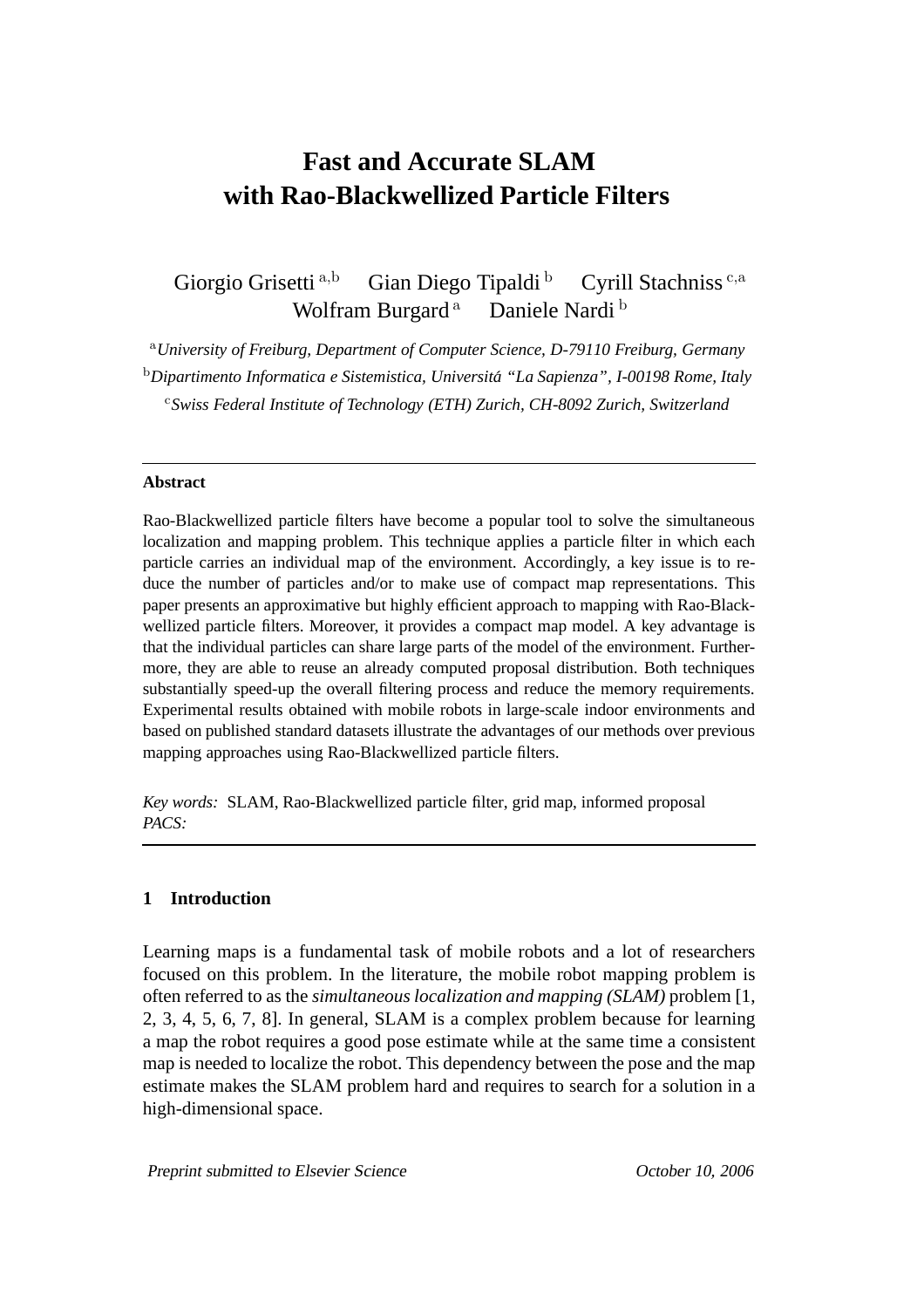# **Fast and Accurate SLAM with Rao-Blackwellized Particle Filters**

Giorgio Grisetti a,b Gian Diego Tipaldi b Cyrill Stachniss<sup>c,a</sup> Wolfram Burgard<sup>a</sup> Daniele Nardi<sup>b</sup>

<sup>a</sup>*University of Freiburg, Department of Computer Science, D-79110 Freiburg, Germany* <sup>b</sup>*Dipartimento Informatica e Sistemistica, Universita "La Sapienza", I-00198 Rome, Italy ´* <sup>c</sup>*Swiss Federal Institute of Technology (ETH) Zurich, CH-8092 Zurich, Switzerland*

#### **Abstract**

Rao-Blackwellized particle filters have become a popular tool to solve the simultaneous localization and mapping problem. This technique applies a particle filter in which each particle carries an individual map of the environment. Accordingly, a key issue is to reduce the number of particles and/or to make use of compact map representations. This paper presents an approximative but highly efficient approach to mapping with Rao-Blackwellized particle filters. Moreover, it provides a compact map model. A key advantage is that the individual particles can share large parts of the model of the environment. Furthermore, they are able to reuse an already computed proposal distribution. Both techniques substantially speed-up the overall filtering process and reduce the memory requirements. Experimental results obtained with mobile robots in large-scale indoor environments and based on published standard datasets illustrate the advantages of our methods over previous mapping approaches using Rao-Blackwellized particle filters.

*Key words:* SLAM, Rao-Blackwellized particle filter, grid map, informed proposal *PACS:*

## **1 Introduction**

Learning maps is a fundamental task of mobile robots and a lot of researchers focused on this problem. In the literature, the mobile robot mapping problem is often referred to as the *simultaneous localization and mapping (SLAM)* problem [1, 2, 3, 4, 5, 6, 7, 8]. In general, SLAM is a complex problem because for learning a map the robot requires a good pose estimate while at the same time a consistent map is needed to localize the robot. This dependency between the pose and the map estimate makes the SLAM problem hard and requires to search for a solution in a high-dimensional space.

Preprint submitted to Elsevier Science **Contact Contact Contact Contact Contact Contact Contact Contact Contact Contact Contact Contact Contact Contact Contact Contact Contact Contact Contact Contact Contact Contact Contac**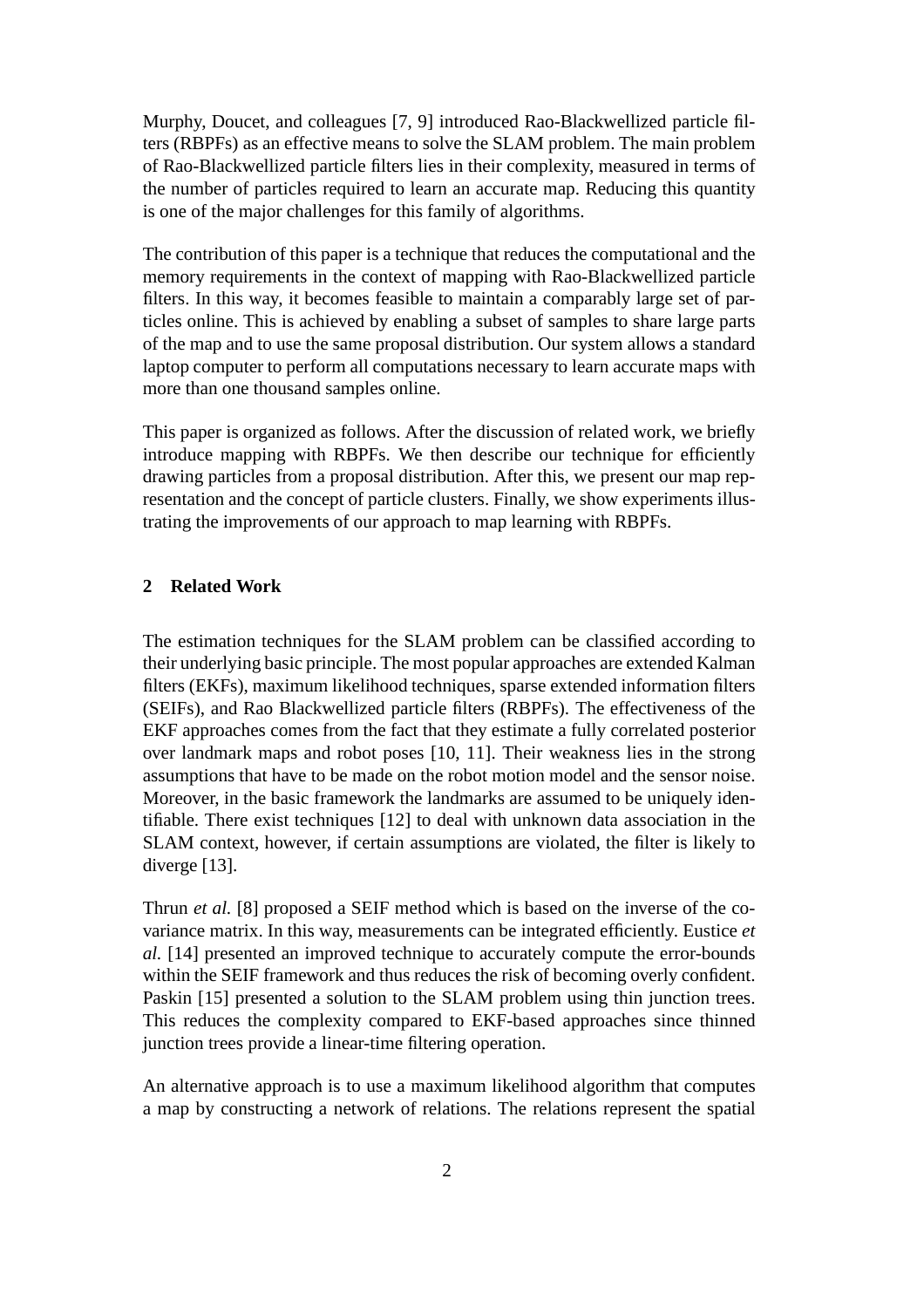Murphy, Doucet, and colleagues [7, 9] introduced Rao-Blackwellized particle filters (RBPFs) as an effective means to solve the SLAM problem. The main problem of Rao-Blackwellized particle filters lies in their complexity, measured in terms of the number of particles required to learn an accurate map. Reducing this quantity is one of the major challenges for this family of algorithms.

The contribution of this paper is a technique that reduces the computational and the memory requirements in the context of mapping with Rao-Blackwellized particle filters. In this way, it becomes feasible to maintain a comparably large set of particles online. This is achieved by enabling a subset of samples to share large parts of the map and to use the same proposal distribution. Our system allows a standard laptop computer to perform all computations necessary to learn accurate maps with more than one thousand samples online.

This paper is organized as follows. After the discussion of related work, we briefly introduce mapping with RBPFs. We then describe our technique for efficiently drawing particles from a proposal distribution. After this, we present our map representation and the concept of particle clusters. Finally, we show experiments illustrating the improvements of our approach to map learning with RBPFs.

# **2 Related Work**

The estimation techniques for the SLAM problem can be classified according to their underlying basic principle. The most popular approaches are extended Kalman filters (EKFs), maximum likelihood techniques, sparse extended information filters (SEIFs), and Rao Blackwellized particle filters (RBPFs). The effectiveness of the EKF approaches comes from the fact that they estimate a fully correlated posterior over landmark maps and robot poses [10, 11]. Their weakness lies in the strong assumptions that have to be made on the robot motion model and the sensor noise. Moreover, in the basic framework the landmarks are assumed to be uniquely identifiable. There exist techniques [12] to deal with unknown data association in the SLAM context, however, if certain assumptions are violated, the filter is likely to diverge [13].

Thrun *et al.* [8] proposed a SEIF method which is based on the inverse of the covariance matrix. In this way, measurements can be integrated efficiently. Eustice *et al.* [14] presented an improved technique to accurately compute the error-bounds within the SEIF framework and thus reduces the risk of becoming overly confident. Paskin [15] presented a solution to the SLAM problem using thin junction trees. This reduces the complexity compared to EKF-based approaches since thinned junction trees provide a linear-time filtering operation.

An alternative approach is to use a maximum likelihood algorithm that computes a map by constructing a network of relations. The relations represent the spatial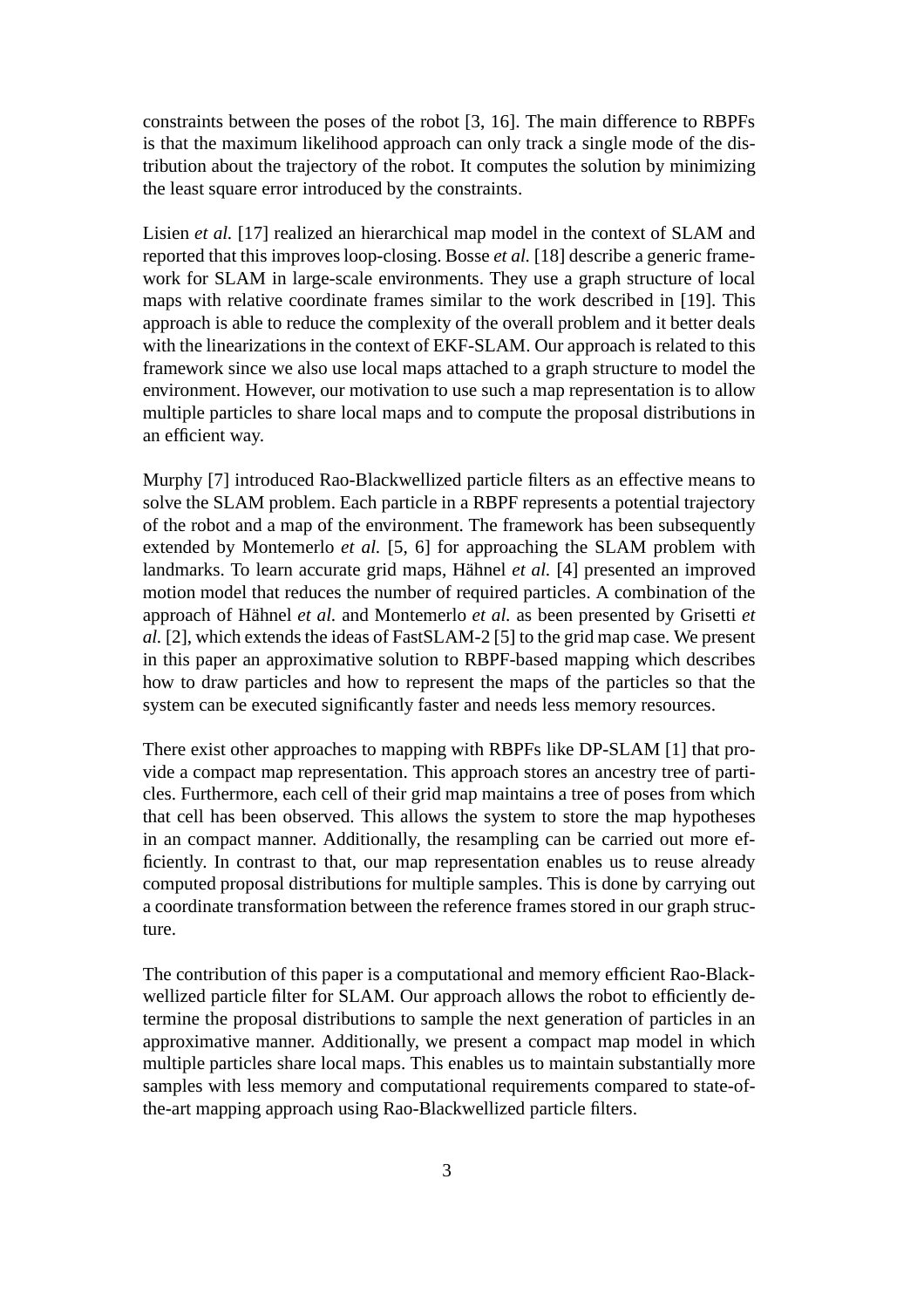constraints between the poses of the robot [3, 16]. The main difference to RBPFs is that the maximum likelihood approach can only track a single mode of the distribution about the trajectory of the robot. It computes the solution by minimizing the least square error introduced by the constraints.

Lisien *et al.* [17] realized an hierarchical map model in the context of SLAM and reported that this improves loop-closing. Bosse *et al.* [18] describe a generic framework for SLAM in large-scale environments. They use a graph structure of local maps with relative coordinate frames similar to the work described in [19]. This approach is able to reduce the complexity of the overall problem and it better deals with the linearizations in the context of EKF-SLAM. Our approach is related to this framework since we also use local maps attached to a graph structure to model the environment. However, our motivation to use such a map representation is to allow multiple particles to share local maps and to compute the proposal distributions in an efficient way.

Murphy [7] introduced Rao-Blackwellized particle filters as an effective means to solve the SLAM problem. Each particle in a RBPF represents a potential trajectory of the robot and a map of the environment. The framework has been subsequently extended by Montemerlo *et al.* [5, 6] for approaching the SLAM problem with landmarks. To learn accurate grid maps, Hähnel *et al.* [4] presented an improved motion model that reduces the number of required particles. A combination of the approach of Hähnel *et al.* and Montemerlo *et al.* as been presented by Grisetti *et al.* [2], which extends the ideas of FastSLAM-2 [5] to the grid map case. We present in this paper an approximative solution to RBPF-based mapping which describes how to draw particles and how to represent the maps of the particles so that the system can be executed significantly faster and needs less memory resources.

There exist other approaches to mapping with RBPFs like DP-SLAM [1] that provide a compact map representation. This approach stores an ancestry tree of particles. Furthermore, each cell of their grid map maintains a tree of poses from which that cell has been observed. This allows the system to store the map hypotheses in an compact manner. Additionally, the resampling can be carried out more efficiently. In contrast to that, our map representation enables us to reuse already computed proposal distributions for multiple samples. This is done by carrying out a coordinate transformation between the reference frames stored in our graph structure.

The contribution of this paper is a computational and memory efficient Rao-Blackwellized particle filter for SLAM. Our approach allows the robot to efficiently determine the proposal distributions to sample the next generation of particles in an approximative manner. Additionally, we present a compact map model in which multiple particles share local maps. This enables us to maintain substantially more samples with less memory and computational requirements compared to state-ofthe-art mapping approach using Rao-Blackwellized particle filters.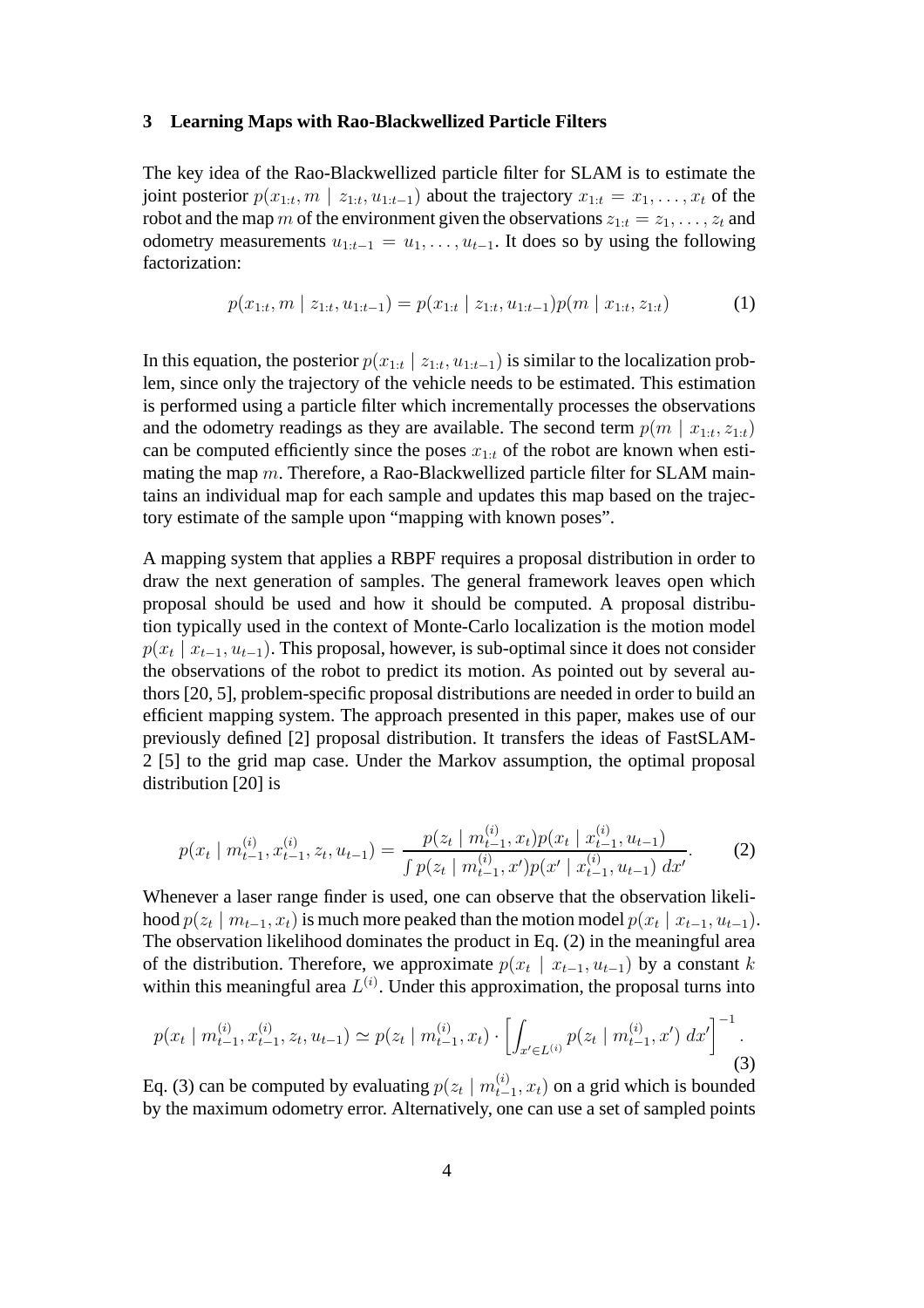#### **3 Learning Maps with Rao-Blackwellized Particle Filters**

The key idea of the Rao-Blackwellized particle filter for SLAM is to estimate the joint posterior  $p(x_{1:t}, m \mid z_{1:t}, u_{1:t-1})$  about the trajectory  $x_{1:t} = x_1, \ldots, x_t$  of the robot and the map m of the environment given the observations  $z_{1:t} = z_1, \ldots, z_t$  and odometry measurements  $u_{1:t-1} = u_1, \ldots, u_{t-1}$ . It does so by using the following factorization:

$$
p(x_{1:t}, m \mid z_{1:t}, u_{1:t-1}) = p(x_{1:t} \mid z_{1:t}, u_{1:t-1}) p(m \mid x_{1:t}, z_{1:t}) \tag{1}
$$

In this equation, the posterior  $p(x_{1:t} | z_{1:t}, u_{1:t-1})$  is similar to the localization problem, since only the trajectory of the vehicle needs to be estimated. This estimation is performed using a particle filter which incrementally processes the observations and the odometry readings as they are available. The second term  $p(m \mid x_{1:t}, z_{1:t})$ can be computed efficiently since the poses  $x_{1:t}$  of the robot are known when estimating the map m. Therefore, a Rao-Blackwellized particle filter for SLAM maintains an individual map for each sample and updates this map based on the trajectory estimate of the sample upon "mapping with known poses".

A mapping system that applies a RBPF requires a proposal distribution in order to draw the next generation of samples. The general framework leaves open which proposal should be used and how it should be computed. A proposal distribution typically used in the context of Monte-Carlo localization is the motion model  $p(x_t \mid x_{t-1}, u_{t-1})$ . This proposal, however, is sub-optimal since it does not consider the observations of the robot to predict its motion. As pointed out by several authors [20, 5], problem-specific proposal distributions are needed in order to build an efficient mapping system. The approach presented in this paper, makes use of our previously defined [2] proposal distribution. It transfers the ideas of FastSLAM-2 [5] to the grid map case. Under the Markov assumption, the optimal proposal distribution [20] is

$$
p(x_t | m_{t-1}^{(i)}, x_{t-1}^{(i)}, z_t, u_{t-1}) = \frac{p(z_t | m_{t-1}^{(i)}, x_t) p(x_t | x_{t-1}^{(i)}, u_{t-1})}{\int p(z_t | m_{t-1}^{(i)}, x') p(x' | x_{t-1}^{(i)}, u_{t-1}) dx'}.
$$
 (2)

Whenever a laser range finder is used, one can observe that the observation likelihood  $p(z_t \mid m_{t-1}, x_t)$  is much more peaked than the motion model  $p(x_t \mid x_{t-1}, u_{t-1})$ . The observation likelihood dominates the product in Eq. (2) in the meaningful area of the distribution. Therefore, we approximate  $p(x_t | x_{t-1}, u_{t-1})$  by a constant k within this meaningful area  $L^{(i)}$ . Under this approximation, the proposal turns into

$$
p(x_t | m_{t-1}^{(i)}, x_{t-1}^{(i)}, z_t, u_{t-1}) \simeq p(z_t | m_{t-1}^{(i)}, x_t) \cdot \left[ \int_{x' \in L^{(i)}} p(z_t | m_{t-1}^{(i)}, x') dx' \right]^{-1}.
$$
\n(3)

Eq. (3) can be computed by evaluating  $p(z_t | m_{t-1}^{(i)}, x_t)$  on a grid which is bounded by the maximum odometry error. Alternatively, one can use a set of sampled points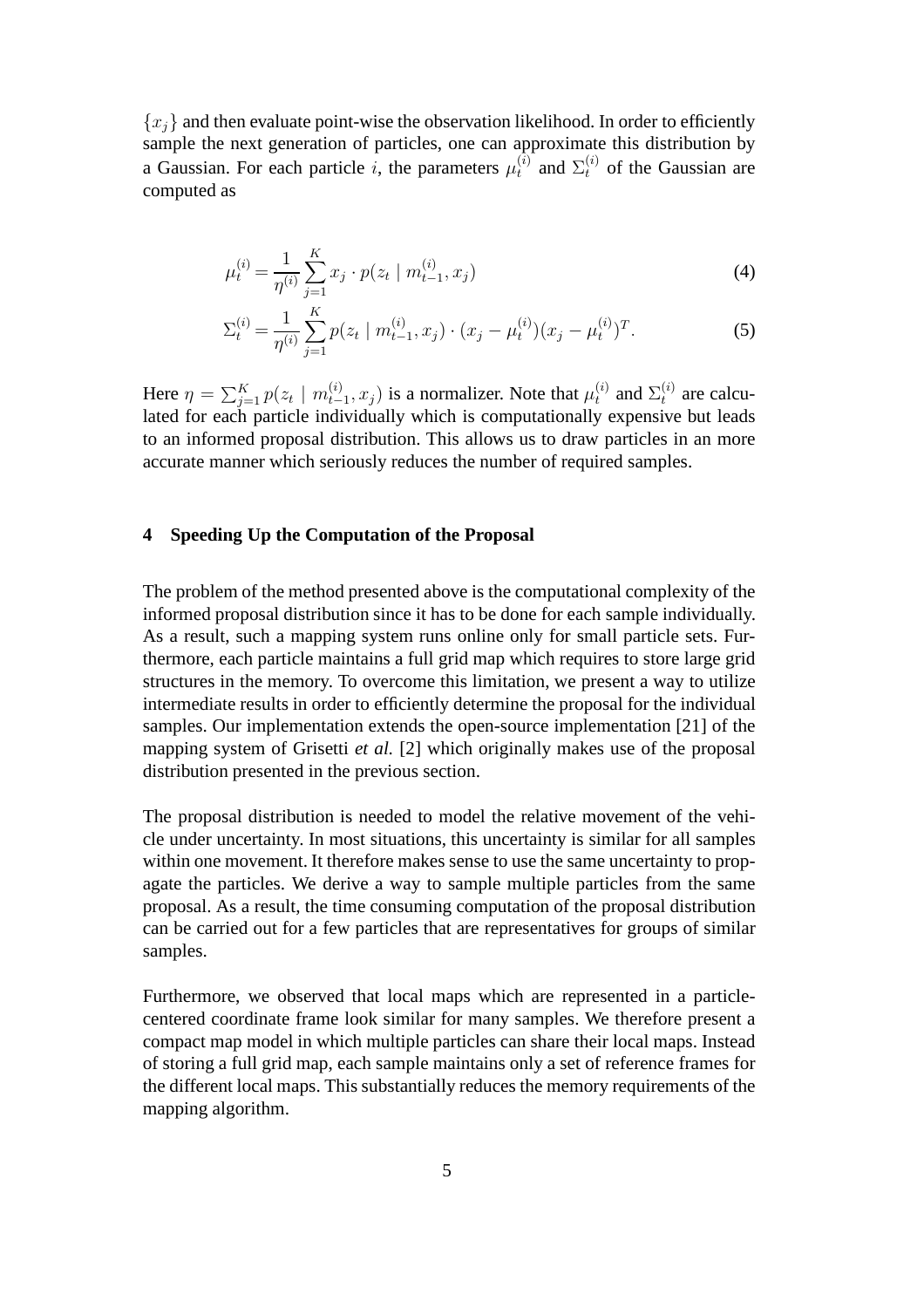${x_i}$  and then evaluate point-wise the observation likelihood. In order to efficiently sample the next generation of particles, one can approximate this distribution by a Gaussian. For each particle i, the parameters  $\mu_t^{(i)}$  and  $\Sigma_t^{(i)}$  of the Gaussian are computed as

$$
\mu_t^{(i)} = \frac{1}{\eta^{(i)}} \sum_{j=1}^K x_j \cdot p(z_t \mid m_{t-1}^{(i)}, x_j)
$$
\n(4)

$$
\Sigma_t^{(i)} = \frac{1}{\eta^{(i)}} \sum_{j=1}^K p(z_t \mid m_{t-1}^{(i)}, x_j) \cdot (x_j - \mu_t^{(i)}) (x_j - \mu_t^{(i)})^T.
$$
 (5)

Here  $\eta = \sum_{j=1}^K p(z_t \mid m_{t-1}^{(i)}, x_j)$  is a normalizer. Note that  $\mu_t^{(i)}$  and  $\Sigma_t^{(i)}$  are calculated for each particle individually which is computationally expensive but leads to an informed proposal distribution. This allows us to draw particles in an more accurate manner which seriously reduces the number of required samples.

#### **4 Speeding Up the Computation of the Proposal**

The problem of the method presented above is the computational complexity of the informed proposal distribution since it has to be done for each sample individually. As a result, such a mapping system runs online only for small particle sets. Furthermore, each particle maintains a full grid map which requires to store large grid structures in the memory. To overcome this limitation, we present a way to utilize intermediate results in order to efficiently determine the proposal for the individual samples. Our implementation extends the open-source implementation [21] of the mapping system of Grisetti *et al.* [2] which originally makes use of the proposal distribution presented in the previous section.

The proposal distribution is needed to model the relative movement of the vehicle under uncertainty. In most situations, this uncertainty is similar for all samples within one movement. It therefore makes sense to use the same uncertainty to propagate the particles. We derive a way to sample multiple particles from the same proposal. As a result, the time consuming computation of the proposal distribution can be carried out for a few particles that are representatives for groups of similar samples.

Furthermore, we observed that local maps which are represented in a particlecentered coordinate frame look similar for many samples. We therefore present a compact map model in which multiple particles can share their local maps. Instead of storing a full grid map, each sample maintains only a set of reference frames for the different local maps. This substantially reduces the memory requirements of the mapping algorithm.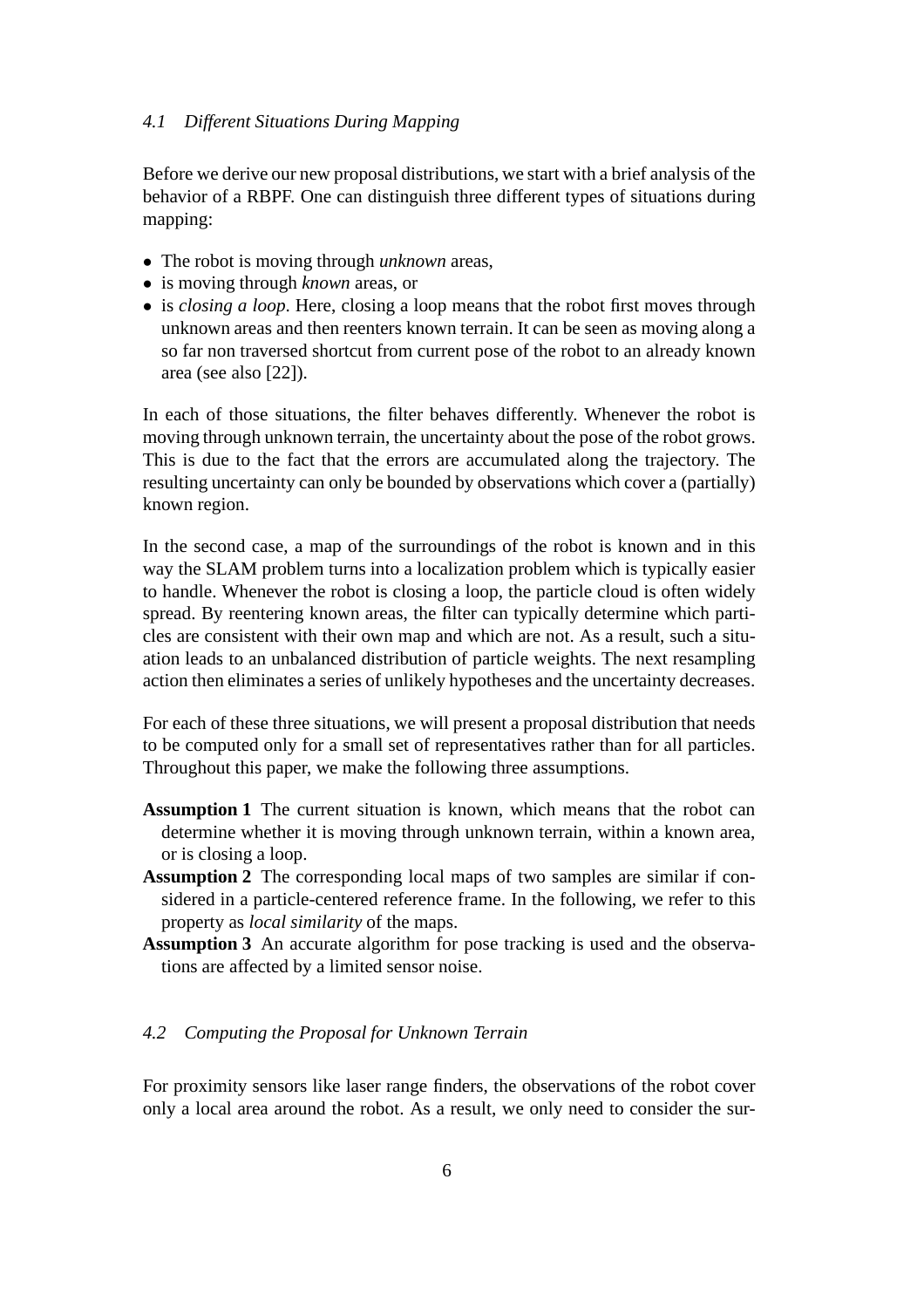#### *4.1 Different Situations During Mapping*

Before we derive our new proposal distributions, we start with a brief analysis of the behavior of a RBPF. One can distinguish three different types of situations during mapping:

- The robot is moving through *unknown* areas,
- is moving through *known* areas, or
- is *closing a loop*. Here, closing a loop means that the robot first moves through unknown areas and then reenters known terrain. It can be seen as moving along a so far non traversed shortcut from current pose of the robot to an already known area (see also [22]).

In each of those situations, the filter behaves differently. Whenever the robot is moving through unknown terrain, the uncertainty about the pose of the robot grows. This is due to the fact that the errors are accumulated along the trajectory. The resulting uncertainty can only be bounded by observations which cover a (partially) known region.

In the second case, a map of the surroundings of the robot is known and in this way the SLAM problem turns into a localization problem which is typically easier to handle. Whenever the robot is closing a loop, the particle cloud is often widely spread. By reentering known areas, the filter can typically determine which particles are consistent with their own map and which are not. As a result, such a situation leads to an unbalanced distribution of particle weights. The next resampling action then eliminates a series of unlikely hypotheses and the uncertainty decreases.

For each of these three situations, we will present a proposal distribution that needs to be computed only for a small set of representatives rather than for all particles. Throughout this paper, we make the following three assumptions.

- **Assumption 1** The current situation is known, which means that the robot can determine whether it is moving through unknown terrain, within a known area, or is closing a loop.
- **Assumption 2** The corresponding local maps of two samples are similar if considered in a particle-centered reference frame. In the following, we refer to this property as *local similarity* of the maps.
- **Assumption 3** An accurate algorithm for pose tracking is used and the observations are affected by a limited sensor noise.

## *4.2 Computing the Proposal for Unknown Terrain*

For proximity sensors like laser range finders, the observations of the robot cover only a local area around the robot. As a result, we only need to consider the sur-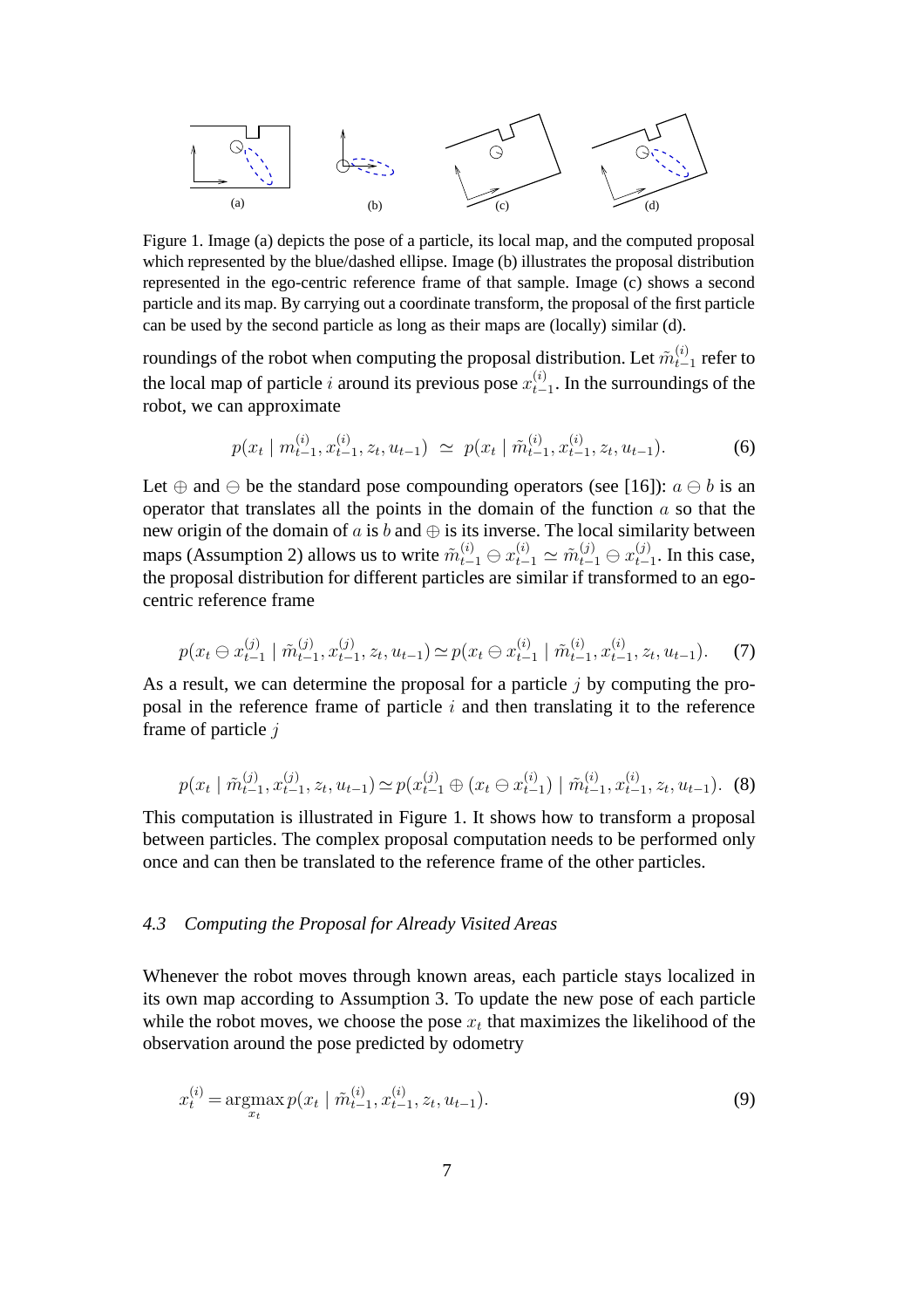

Figure 1. Image (a) depicts the pose of a particle, its local map, and the computed proposal which represented by the blue/dashed ellipse. Image (b) illustrates the proposal distribution represented in the ego-centric reference frame of that sample. Image (c) shows a second particle and its map. By carrying out a coordinate transform, the proposal of the first particle can be used by the second particle as long as their maps are (locally) similar (d).

roundings of the robot when computing the proposal distribution. Let  $\tilde{m}_{t-1}^{(i)}$  refer to the local map of particle i around its previous pose  $x_{t-1}^{(i)}$ . In the surroundings of the robot, we can approximate

$$
p(x_t | m_{t-1}^{(i)}, x_{t-1}^{(i)}, z_t, u_{t-1}) \simeq p(x_t | \tilde{m}_{t-1}^{(i)}, x_{t-1}^{(i)}, z_t, u_{t-1}). \tag{6}
$$

Let  $\oplus$  and  $\ominus$  be the standard pose compounding operators (see [16]):  $a \ominus b$  is an operator that translates all the points in the domain of the function  $a$  so that the new origin of the domain of  $a$  is  $b$  and  $\oplus$  is its inverse. The local similarity between maps (Assumption 2) allows us to write  $\tilde{m}_{t-1}^{(i)} \oplus x_{t-1}^{(i)} \simeq \tilde{m}_{t-1}^{(j)} \oplus x_{t-1}^{(j)}$ . In this case, the proposal distribution for different particles are similar if transformed to an egocentric reference frame

$$
p(x_t \ominus x_{t-1}^{(j)} \mid \tilde{m}_{t-1}^{(j)}, x_{t-1}^{(j)}, z_t, u_{t-1}) \simeq p(x_t \ominus x_{t-1}^{(i)} \mid \tilde{m}_{t-1}^{(i)}, x_{t-1}^{(i)}, z_t, u_{t-1}).
$$
 (7)

As a result, we can determine the proposal for a particle  $j$  by computing the proposal in the reference frame of particle  $i$  and then translating it to the reference frame of particle j

$$
p(x_t | \tilde{m}_{t-1}^{(j)}, x_{t-1}^{(j)}, z_t, u_{t-1}) \simeq p(x_{t-1}^{(j)} \oplus (x_t \ominus x_{t-1}^{(i)}) | \tilde{m}_{t-1}^{(i)}, x_{t-1}^{(i)}, z_t, u_{t-1}).
$$
 (8)

This computation is illustrated in Figure 1. It shows how to transform a proposal between particles. The complex proposal computation needs to be performed only once and can then be translated to the reference frame of the other particles.

## *4.3 Computing the Proposal for Already Visited Areas*

Whenever the robot moves through known areas, each particle stays localized in its own map according to Assumption 3. To update the new pose of each particle while the robot moves, we choose the pose  $x_t$  that maximizes the likelihood of the observation around the pose predicted by odometry

$$
x_t^{(i)} = \operatorname*{argmax}_{x_t} p(x_t \mid \tilde{m}_{t-1}^{(i)}, x_{t-1}^{(i)}, z_t, u_{t-1}).
$$
\n(9)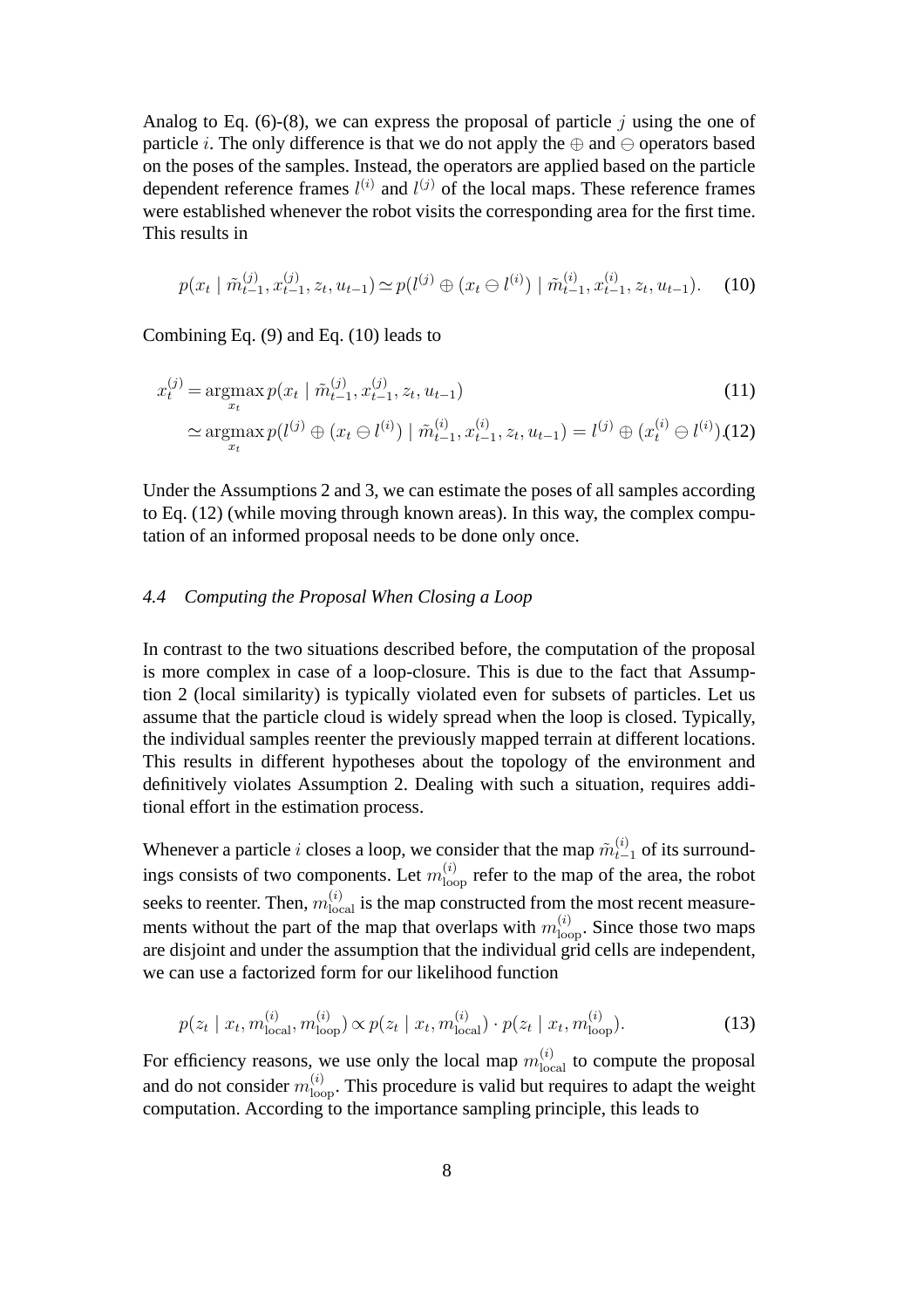Analog to Eq. (6)-(8), we can express the proposal of particle  $i$  using the one of particle *i*. The only difference is that we do not apply the  $oplus$  and  $\ominus$  operators based on the poses of the samples. Instead, the operators are applied based on the particle dependent reference frames  $l^{(i)}$  and  $l^{(j)}$  of the local maps. These reference frames were established whenever the robot visits the corresponding area for the first time. This results in

$$
p(x_t | \tilde{m}_{t-1}^{(j)}, x_{t-1}^{(j)}, z_t, u_{t-1}) \simeq p(l^{(j)} \oplus (x_t \ominus l^{(i)}) | \tilde{m}_{t-1}^{(i)}, x_{t-1}^{(i)}, z_t, u_{t-1}).
$$
 (10)

Combining Eq. (9) and Eq. (10) leads to

$$
x_t^{(j)} = \underset{x_t}{\operatorname{argmax}} p(x_t \mid \tilde{m}_{t-1}^{(j)}, x_{t-1}^{(j)}, z_t, u_{t-1})
$$
\n
$$
\simeq \underset{x_t}{\operatorname{argmax}} p(l^{(j)} \oplus (x_t \ominus l^{(i)}) \mid \tilde{m}_{t-1}^{(i)}, x_{t-1}^{(i)}, z_t, u_{t-1}) = l^{(j)} \oplus (x_t^{(i)} \ominus l^{(i)}). (12)
$$
\n(11)

Under the Assumptions 2 and 3, we can estimate the poses of all samples according to Eq. (12) (while moving through known areas). In this way, the complex computation of an informed proposal needs to be done only once.

#### *4.4 Computing the Proposal When Closing a Loop*

In contrast to the two situations described before, the computation of the proposal is more complex in case of a loop-closure. This is due to the fact that Assumption 2 (local similarity) is typically violated even for subsets of particles. Let us assume that the particle cloud is widely spread when the loop is closed. Typically, the individual samples reenter the previously mapped terrain at different locations. This results in different hypotheses about the topology of the environment and definitively violates Assumption 2. Dealing with such a situation, requires additional effort in the estimation process.

Whenever a particle i closes a loop, we consider that the map  $\tilde{m}_{t-1}^{(i)}$  of its surroundings consists of two components. Let  $m_{\text{loop}}^{(i)}$  refer to the map of the area, the robot seeks to reenter. Then,  $m_{\text{local}}^{(i)}$  is the map constructed from the most recent measurements without the part of the map that overlaps with  $m_{\text{loop}}^{(i)}$ . Since those two maps are disjoint and under the assumption that the individual grid cells are independent, we can use a factorized form for our likelihood function

$$
p(z_t | x_t, m_{\text{local}}^{(i)}, m_{\text{loop}}^{(i)}) \propto p(z_t | x_t, m_{\text{local}}^{(i)}) \cdot p(z_t | x_t, m_{\text{loop}}^{(i)}).
$$
 (13)

For efficiency reasons, we use only the local map  $m_{\text{local}}^{(i)}$  to compute the proposal and do not consider  $m_{\text{loop}}^{(i)}$ . This procedure is valid but requires to adapt the weight computation. According to the importance sampling principle, this leads to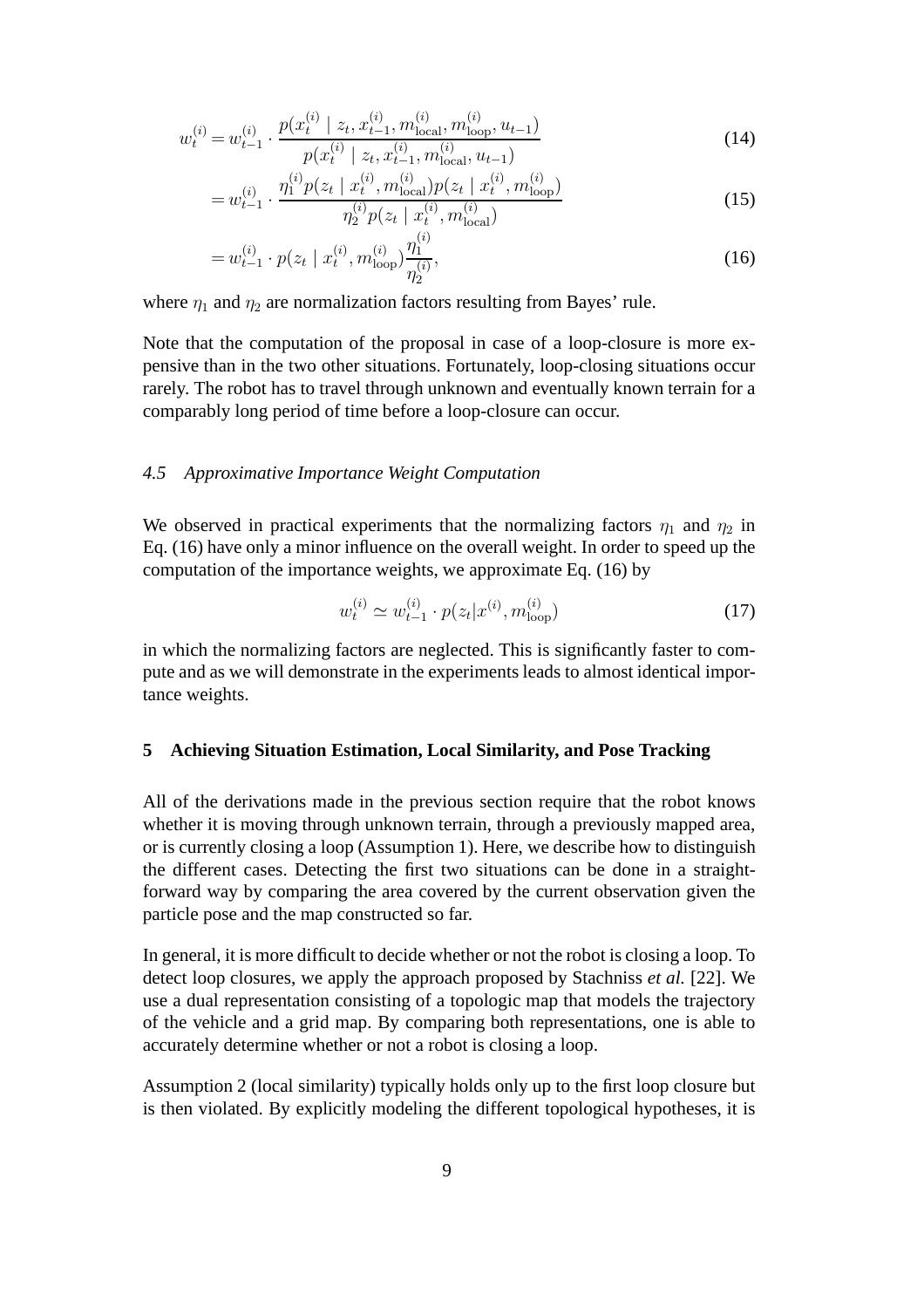$$
w_t^{(i)} = w_{t-1}^{(i)} \cdot \frac{p(x_t^{(i)} \mid z_t, x_{t-1}^{(i)}, m_{\text{local}}^{(i)}, m_{\text{loop}}^{(i)}, u_{t-1})}{p(x_t^{(i)} \mid z_t, x_{t-1}^{(i)}, m_{\text{local}}^{(i)}, u_{t-1})}
$$
(14)

$$
=w_{t-1}^{(i)} \cdot \frac{\eta_1^{(i)} p(z_t \mid x_t^{(i)}, m_{\text{local}}^{(i)}) p(z_t \mid x_t^{(i)}, m_{\text{loop}}^{(i)})}{\eta_2^{(i)} p(z_t \mid x_t^{(i)}, m_{\text{local}}^{(i)})}
$$
(15)

$$
=w_{t-1}^{(i)} \cdot p(z_t \mid x_t^{(i)}, m_{\text{loop}}^{(i)}) \frac{\eta_1^{(i)}}{\eta_2^{(i)}},\tag{16}
$$

where  $\eta_1$  and  $\eta_2$  are normalization factors resulting from Bayes' rule.

Note that the computation of the proposal in case of a loop-closure is more expensive than in the two other situations. Fortunately, loop-closing situations occur rarely. The robot has to travel through unknown and eventually known terrain for a comparably long period of time before a loop-closure can occur.

#### *4.5 Approximative Importance Weight Computation*

We observed in practical experiments that the normalizing factors  $\eta_1$  and  $\eta_2$  in Eq. (16) have only a minor influence on the overall weight. In order to speed up the computation of the importance weights, we approximate Eq. (16) by

$$
w_t^{(i)} \simeq w_{t-1}^{(i)} \cdot p(z_t | x^{(i)}, m_{\text{loop}}^{(i)})
$$
\n(17)

in which the normalizing factors are neglected. This is significantly faster to compute and as we will demonstrate in the experiments leads to almost identical importance weights.

#### **5 Achieving Situation Estimation, Local Similarity, and Pose Tracking**

All of the derivations made in the previous section require that the robot knows whether it is moving through unknown terrain, through a previously mapped area, or is currently closing a loop (Assumption 1). Here, we describe how to distinguish the different cases. Detecting the first two situations can be done in a straightforward way by comparing the area covered by the current observation given the particle pose and the map constructed so far.

In general, it is more difficult to decide whether or not the robot is closing a loop. To detect loop closures, we apply the approach proposed by Stachniss *et al.* [22]. We use a dual representation consisting of a topologic map that models the trajectory of the vehicle and a grid map. By comparing both representations, one is able to accurately determine whether or not a robot is closing a loop.

Assumption 2 (local similarity) typically holds only up to the first loop closure but is then violated. By explicitly modeling the different topological hypotheses, it is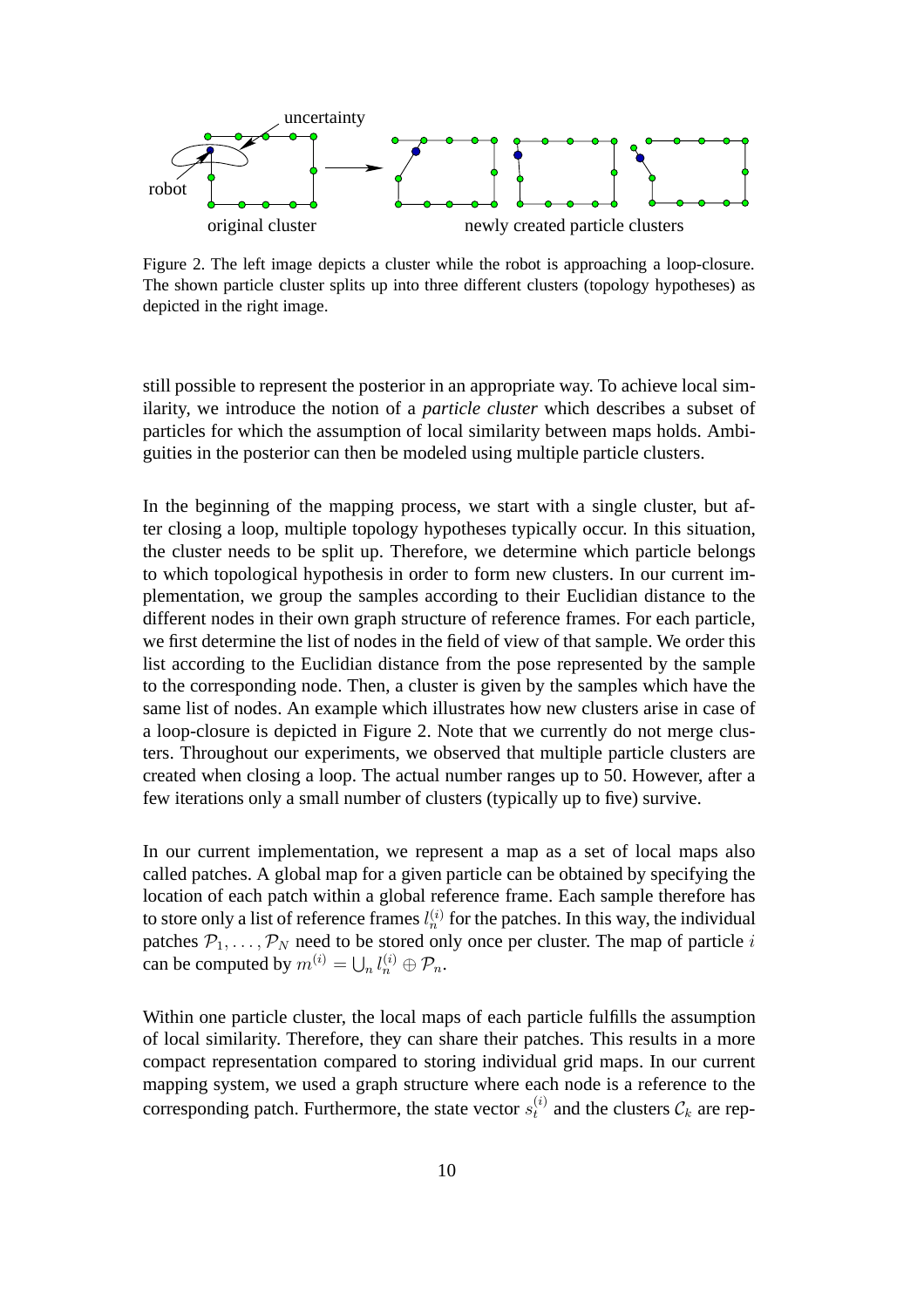

Figure 2. The left image depicts a cluster while the robot is approaching a loop-closure. The shown particle cluster splits up into three different clusters (topology hypotheses) as depicted in the right image.

still possible to represent the posterior in an appropriate way. To achieve local similarity, we introduce the notion of a *particle cluster* which describes a subset of particles for which the assumption of local similarity between maps holds. Ambiguities in the posterior can then be modeled using multiple particle clusters.

In the beginning of the mapping process, we start with a single cluster, but after closing a loop, multiple topology hypotheses typically occur. In this situation, the cluster needs to be split up. Therefore, we determine which particle belongs to which topological hypothesis in order to form new clusters. In our current implementation, we group the samples according to their Euclidian distance to the different nodes in their own graph structure of reference frames. For each particle, we first determine the list of nodes in the field of view of that sample. We order this list according to the Euclidian distance from the pose represented by the sample to the corresponding node. Then, a cluster is given by the samples which have the same list of nodes. An example which illustrates how new clusters arise in case of a loop-closure is depicted in Figure 2. Note that we currently do not merge clusters. Throughout our experiments, we observed that multiple particle clusters are created when closing a loop. The actual number ranges up to 50. However, after a few iterations only a small number of clusters (typically up to five) survive.

In our current implementation, we represent a map as a set of local maps also called patches. A global map for a given particle can be obtained by specifying the location of each patch within a global reference frame. Each sample therefore has to store only a list of reference frames  $l_n^{(i)}$  for the patches. In this way, the individual patches  $P_1, \ldots, P_N$  need to be stored only once per cluster. The map of particle i can be computed by  $m^{(i)} = \bigcup_n l_n^{(i)} \oplus \mathcal{P}_n$ .

Within one particle cluster, the local maps of each particle fulfills the assumption of local similarity. Therefore, they can share their patches. This results in a more compact representation compared to storing individual grid maps. In our current mapping system, we used a graph structure where each node is a reference to the corresponding patch. Furthermore, the state vector  $s_t^{(i)}$  and the clusters  $\mathcal{C}_k$  are rep-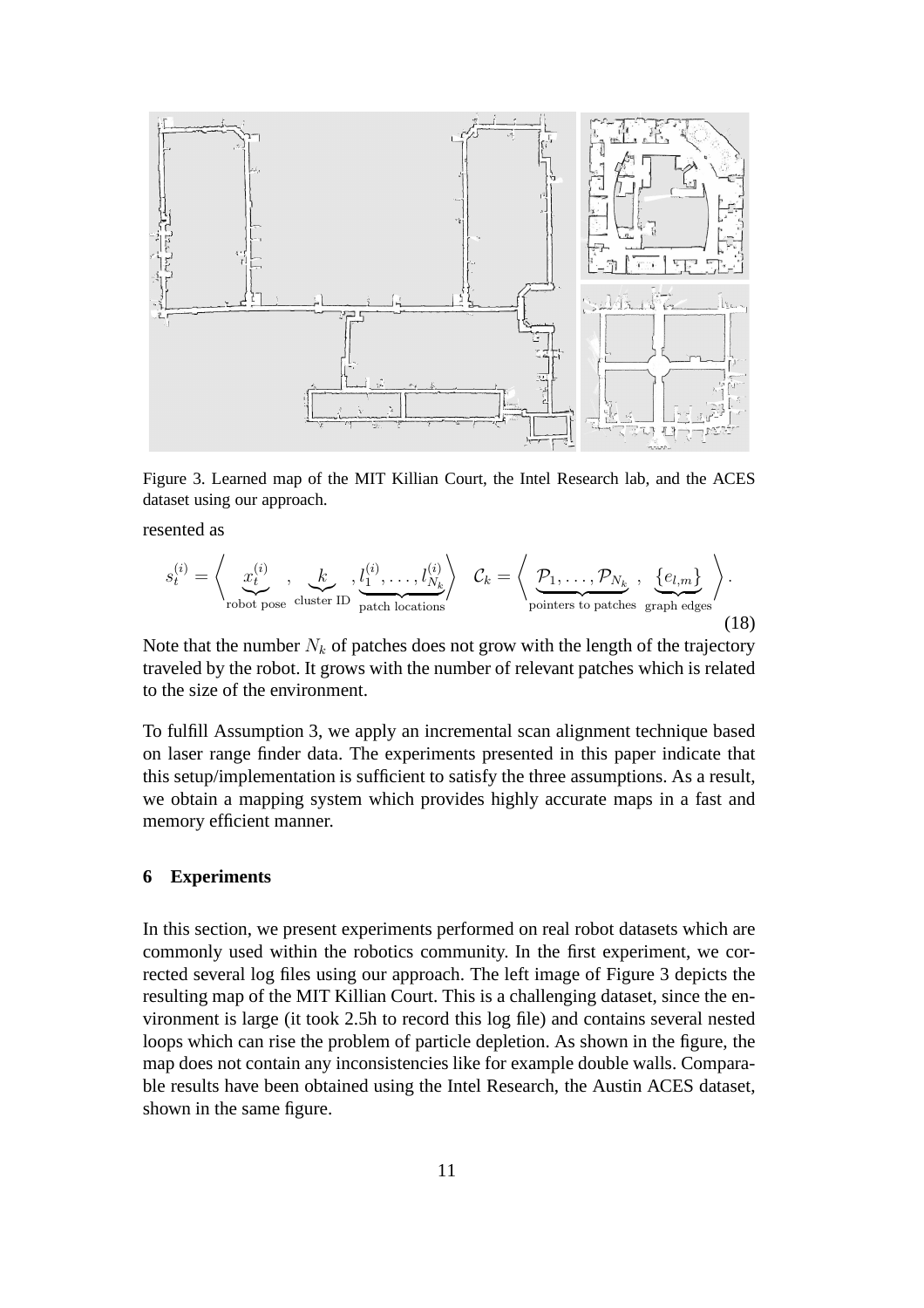

Figure 3. Learned map of the MIT Killian Court, the Intel Research lab, and the ACES dataset using our approach.

resented as

$$
s_t^{(i)} = \left\langle \underbrace{x_t^{(i)}}_{\text{robot pose cluster ID}} , \underbrace{k}_{\text{patch locations}} , \underbrace{l_1^{(i)}, \dots, l_{N_k}^{(i)}}_{\text{potitors to patches}} \right\rangle \cdot \underbrace{e_{l,m}}_{\text{graph edges}} \right\rangle. \tag{18}
$$

Note that the number  $N_k$  of patches does not grow with the length of the trajectory traveled by the robot. It grows with the number of relevant patches which is related to the size of the environment.

To fulfill Assumption 3, we apply an incremental scan alignment technique based on laser range finder data. The experiments presented in this paper indicate that this setup/implementation is sufficient to satisfy the three assumptions. As a result, we obtain a mapping system which provides highly accurate maps in a fast and memory efficient manner.

### **6 Experiments**

In this section, we present experiments performed on real robot datasets which are commonly used within the robotics community. In the first experiment, we corrected several log files using our approach. The left image of Figure 3 depicts the resulting map of the MIT Killian Court. This is a challenging dataset, since the environment is large (it took 2.5h to record this log file) and contains several nested loops which can rise the problem of particle depletion. As shown in the figure, the map does not contain any inconsistencies like for example double walls. Comparable results have been obtained using the Intel Research, the Austin ACES dataset, shown in the same figure.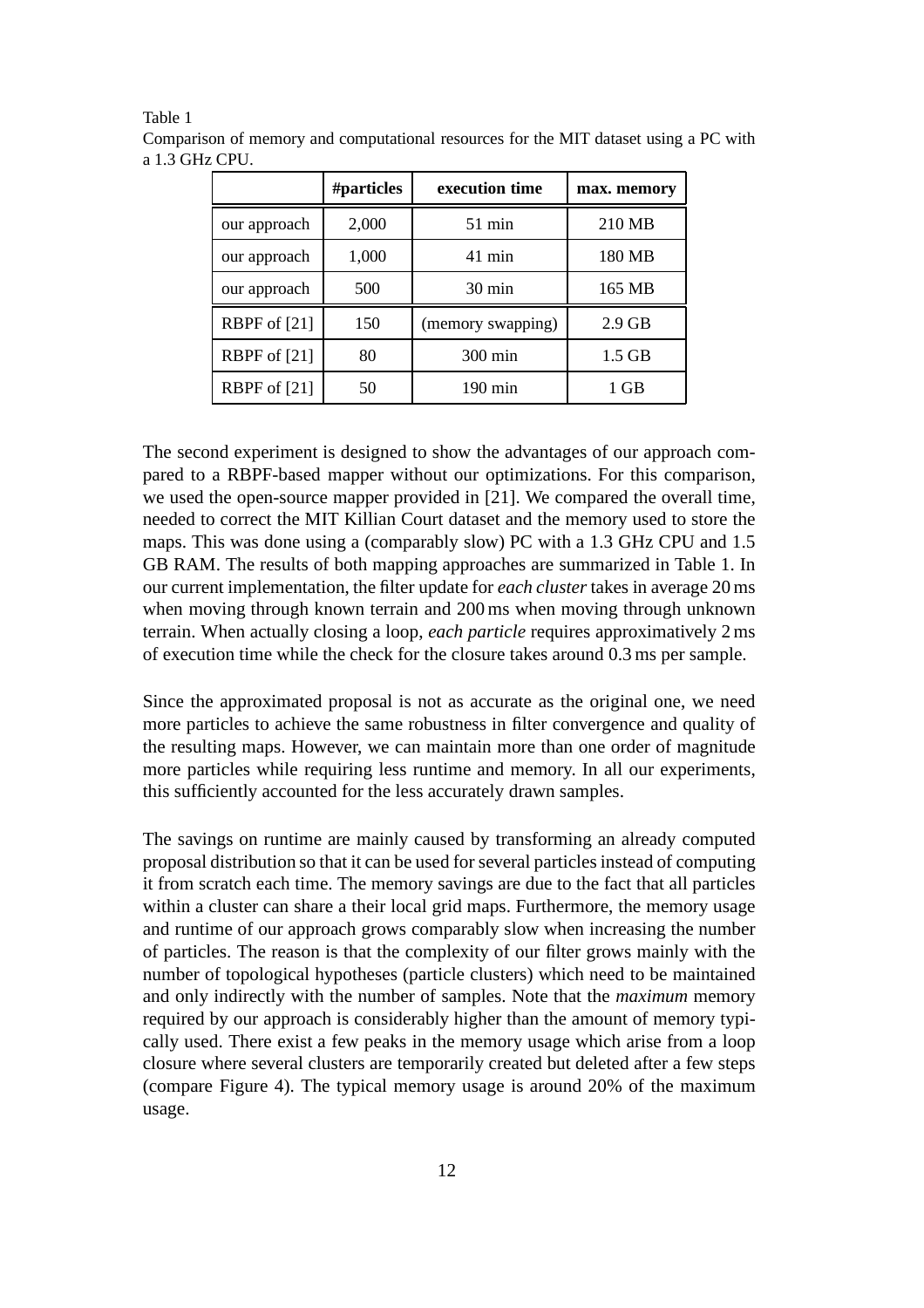Table 1

|              | #particles | execution time    | max. memory |
|--------------|------------|-------------------|-------------|
| our approach | 2,000      | $51$ min          | 210 MB      |
| our approach | 1,000      | $41$ min          | 180 MB      |
| our approach | 500        | $30 \text{ min}$  | 165 MB      |
| RBPF of [21] | 150        | (memory swapping) | $2.9$ GB    |
| RBPF of [21] | 80         | 300 min           | $1.5$ GB    |
| RBPF of [21] | 50         | $190 \text{ min}$ | 1 GB        |

Comparison of memory and computational resources for the MIT dataset using a PC with a 1.3 GHz CPU.

The second experiment is designed to show the advantages of our approach compared to a RBPF-based mapper without our optimizations. For this comparison, we used the open-source mapper provided in [21]. We compared the overall time, needed to correct the MIT Killian Court dataset and the memory used to store the maps. This was done using a (comparably slow) PC with a 1.3 GHz CPU and 1.5 GB RAM. The results of both mapping approaches are summarized in Table 1. In our current implementation, the filter update for *each cluster* takes in average 20 ms when moving through known terrain and 200 ms when moving through unknown terrain. When actually closing a loop, *each particle* requires approximatively 2 ms of execution time while the check for the closure takes around 0.3 ms per sample.

Since the approximated proposal is not as accurate as the original one, we need more particles to achieve the same robustness in filter convergence and quality of the resulting maps. However, we can maintain more than one order of magnitude more particles while requiring less runtime and memory. In all our experiments, this sufficiently accounted for the less accurately drawn samples.

The savings on runtime are mainly caused by transforming an already computed proposal distribution so that it can be used for several particles instead of computing it from scratch each time. The memory savings are due to the fact that all particles within a cluster can share a their local grid maps. Furthermore, the memory usage and runtime of our approach grows comparably slow when increasing the number of particles. The reason is that the complexity of our filter grows mainly with the number of topological hypotheses (particle clusters) which need to be maintained and only indirectly with the number of samples. Note that the *maximum* memory required by our approach is considerably higher than the amount of memory typically used. There exist a few peaks in the memory usage which arise from a loop closure where several clusters are temporarily created but deleted after a few steps (compare Figure 4). The typical memory usage is around 20% of the maximum usage.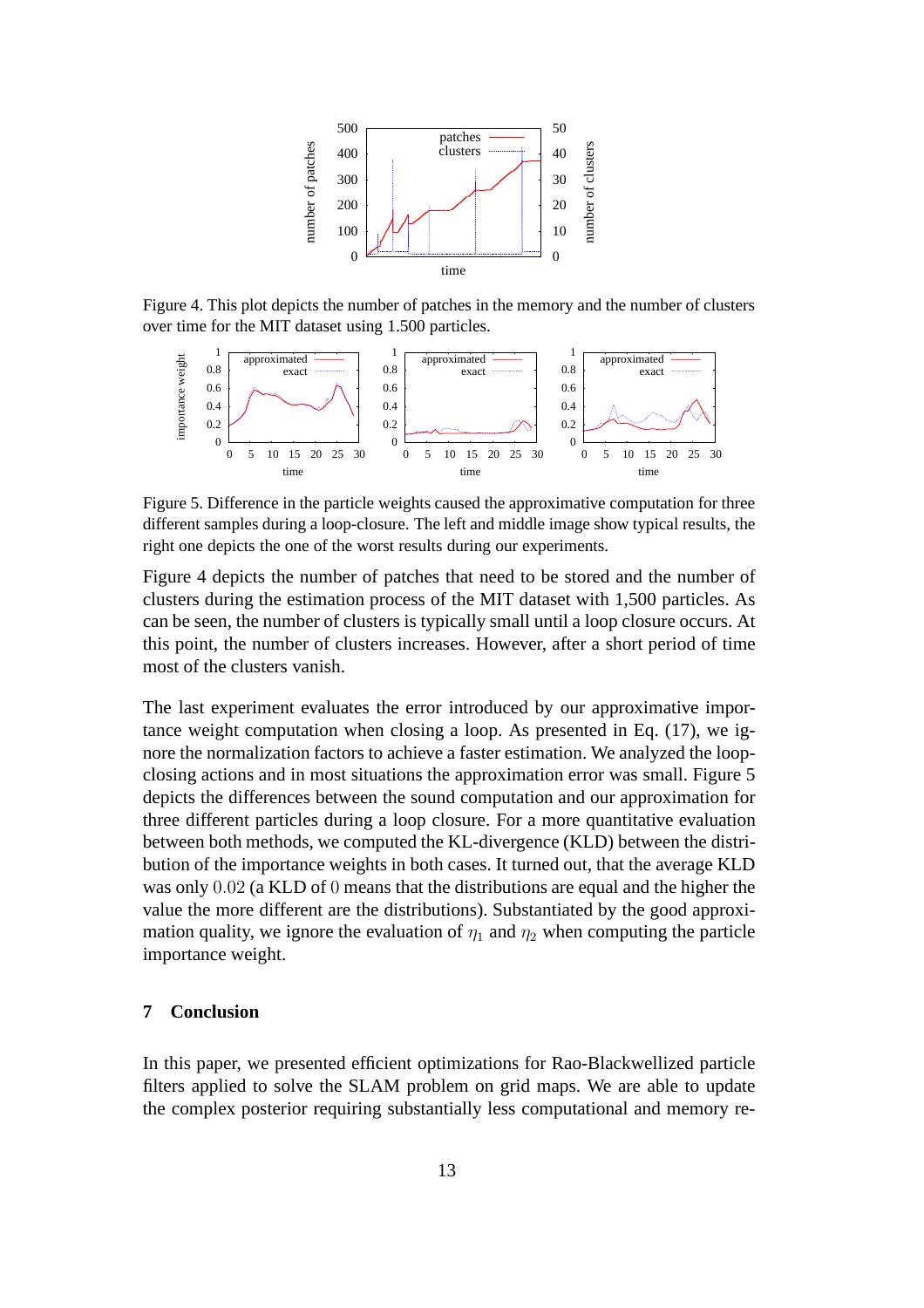

Figure 4. This plot depicts the number of patches in the memory and the number of clusters over time for the MIT dataset using 1.500 particles.



Figure 5. Difference in the particle weights caused the approximative computation for three different samples during a loop-closure. The left and middle image show typical results, the right one depicts the one of the worst results during our experiments.

Figure 4 depicts the number of patches that need to be stored and the number of clusters during the estimation process of the MIT dataset with 1,500 particles. As can be seen, the number of clusters is typically small until a loop closure occurs. At this point, the number of clusters increases. However, after a short period of time most of the clusters vanish.

The last experiment evaluates the error introduced by our approximative importance weight computation when closing a loop. As presented in Eq. (17), we ignore the normalization factors to achieve a faster estimation. We analyzed the loopclosing actions and in most situations the approximation error was small. Figure 5 depicts the differences between the sound computation and our approximation for three different particles during a loop closure. For a more quantitative evaluation between both methods, we computed the KL-divergence (KLD) between the distribution of the importance weights in both cases. It turned out, that the average KLD was only 0.02 (a KLD of 0 means that the distributions are equal and the higher the value the more different are the distributions). Substantiated by the good approximation quality, we ignore the evaluation of  $\eta_1$  and  $\eta_2$  when computing the particle importance weight.

## **7 Conclusion**

In this paper, we presented efficient optimizations for Rao-Blackwellized particle filters applied to solve the SLAM problem on grid maps. We are able to update the complex posterior requiring substantially less computational and memory re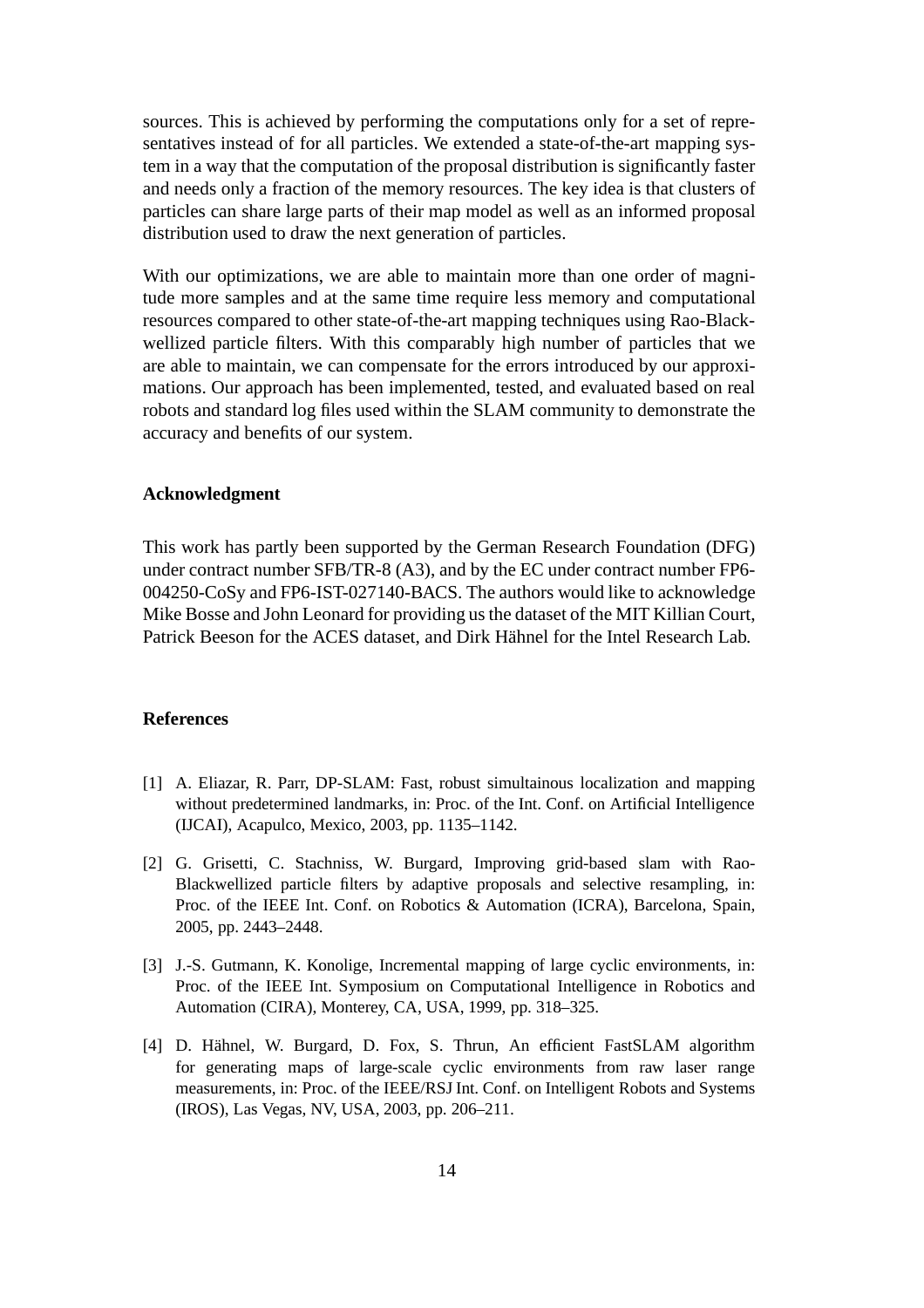sources. This is achieved by performing the computations only for a set of representatives instead of for all particles. We extended a state-of-the-art mapping system in a way that the computation of the proposal distribution is significantly faster and needs only a fraction of the memory resources. The key idea is that clusters of particles can share large parts of their map model as well as an informed proposal distribution used to draw the next generation of particles.

With our optimizations, we are able to maintain more than one order of magnitude more samples and at the same time require less memory and computational resources compared to other state-of-the-art mapping techniques using Rao-Blackwellized particle filters. With this comparably high number of particles that we are able to maintain, we can compensate for the errors introduced by our approximations. Our approach has been implemented, tested, and evaluated based on real robots and standard log files used within the SLAM community to demonstrate the accuracy and benefits of our system.

### **Acknowledgment**

This work has partly been supported by the German Research Foundation (DFG) under contract number SFB/TR-8 (A3), and by the EC under contract number FP6- 004250-CoSy and FP6-IST-027140-BACS. The authors would like to acknowledge Mike Bosse and John Leonard for providing us the dataset of the MIT Killian Court, Patrick Beeson for the ACES dataset, and Dirk Hähnel for the Intel Research Lab.

#### **References**

- [1] A. Eliazar, R. Parr, DP-SLAM: Fast, robust simultainous localization and mapping without predetermined landmarks, in: Proc. of the Int. Conf. on Artificial Intelligence (IJCAI), Acapulco, Mexico, 2003, pp. 1135–1142.
- [2] G. Grisetti, C. Stachniss, W. Burgard, Improving grid-based slam with Rao-Blackwellized particle filters by adaptive proposals and selective resampling, in: Proc. of the IEEE Int. Conf. on Robotics & Automation (ICRA), Barcelona, Spain, 2005, pp. 2443–2448.
- [3] J.-S. Gutmann, K. Konolige, Incremental mapping of large cyclic environments, in: Proc. of the IEEE Int. Symposium on Computational Intelligence in Robotics and Automation (CIRA), Monterey, CA, USA, 1999, pp. 318–325.
- [4] D. Hähnel, W. Burgard, D. Fox, S. Thrun, An efficient FastSLAM algorithm for generating maps of large-scale cyclic environments from raw laser range measurements, in: Proc. of the IEEE/RSJ Int. Conf. on Intelligent Robots and Systems (IROS), Las Vegas, NV, USA, 2003, pp. 206–211.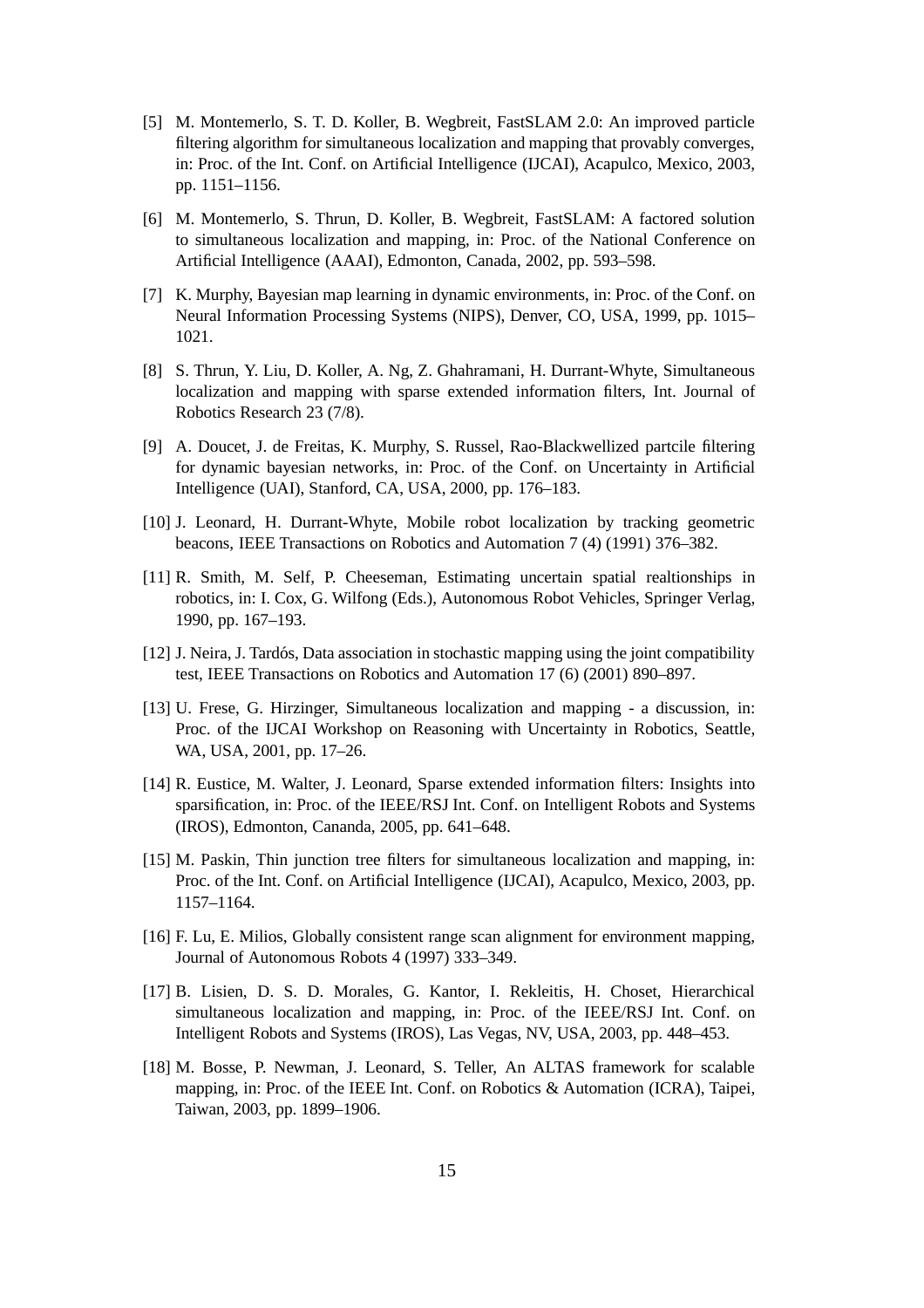- [5] M. Montemerlo, S. T. D. Koller, B. Wegbreit, FastSLAM 2.0: An improved particle filtering algorithm for simultaneous localization and mapping that provably converges, in: Proc. of the Int. Conf. on Artificial Intelligence (IJCAI), Acapulco, Mexico, 2003, pp. 1151–1156.
- [6] M. Montemerlo, S. Thrun, D. Koller, B. Wegbreit, FastSLAM: A factored solution to simultaneous localization and mapping, in: Proc. of the National Conference on Artificial Intelligence (AAAI), Edmonton, Canada, 2002, pp. 593–598.
- [7] K. Murphy, Bayesian map learning in dynamic environments, in: Proc. of the Conf. on Neural Information Processing Systems (NIPS), Denver, CO, USA, 1999, pp. 1015– 1021.
- [8] S. Thrun, Y. Liu, D. Koller, A. Ng, Z. Ghahramani, H. Durrant-Whyte, Simultaneous localization and mapping with sparse extended information filters, Int. Journal of Robotics Research 23 (7/8).
- [9] A. Doucet, J. de Freitas, K. Murphy, S. Russel, Rao-Blackwellized partcile filtering for dynamic bayesian networks, in: Proc. of the Conf. on Uncertainty in Artificial Intelligence (UAI), Stanford, CA, USA, 2000, pp. 176–183.
- [10] J. Leonard, H. Durrant-Whyte, Mobile robot localization by tracking geometric beacons, IEEE Transactions on Robotics and Automation 7 (4) (1991) 376–382.
- [11] R. Smith, M. Self, P. Cheeseman, Estimating uncertain spatial realtionships in robotics, in: I. Cox, G. Wilfong (Eds.), Autonomous Robot Vehicles, Springer Verlag, 1990, pp. 167–193.
- [12] J. Neira, J. Tardós, Data association in stochastic mapping using the joint compatibility test, IEEE Transactions on Robotics and Automation 17 (6) (2001) 890–897.
- [13] U. Frese, G. Hirzinger, Simultaneous localization and mapping a discussion, in: Proc. of the IJCAI Workshop on Reasoning with Uncertainty in Robotics, Seattle, WA, USA, 2001, pp. 17–26.
- [14] R. Eustice, M. Walter, J. Leonard, Sparse extended information filters: Insights into sparsification, in: Proc. of the IEEE/RSJ Int. Conf. on Intelligent Robots and Systems (IROS), Edmonton, Cananda, 2005, pp. 641–648.
- [15] M. Paskin, Thin junction tree filters for simultaneous localization and mapping, in: Proc. of the Int. Conf. on Artificial Intelligence (IJCAI), Acapulco, Mexico, 2003, pp. 1157–1164.
- [16] F. Lu, E. Milios, Globally consistent range scan alignment for environment mapping, Journal of Autonomous Robots 4 (1997) 333–349.
- [17] B. Lisien, D. S. D. Morales, G. Kantor, I. Rekleitis, H. Choset, Hierarchical simultaneous localization and mapping, in: Proc. of the IEEE/RSJ Int. Conf. on Intelligent Robots and Systems (IROS), Las Vegas, NV, USA, 2003, pp. 448–453.
- [18] M. Bosse, P. Newman, J. Leonard, S. Teller, An ALTAS framework for scalable mapping, in: Proc. of the IEEE Int. Conf. on Robotics & Automation (ICRA), Taipei, Taiwan, 2003, pp. 1899–1906.